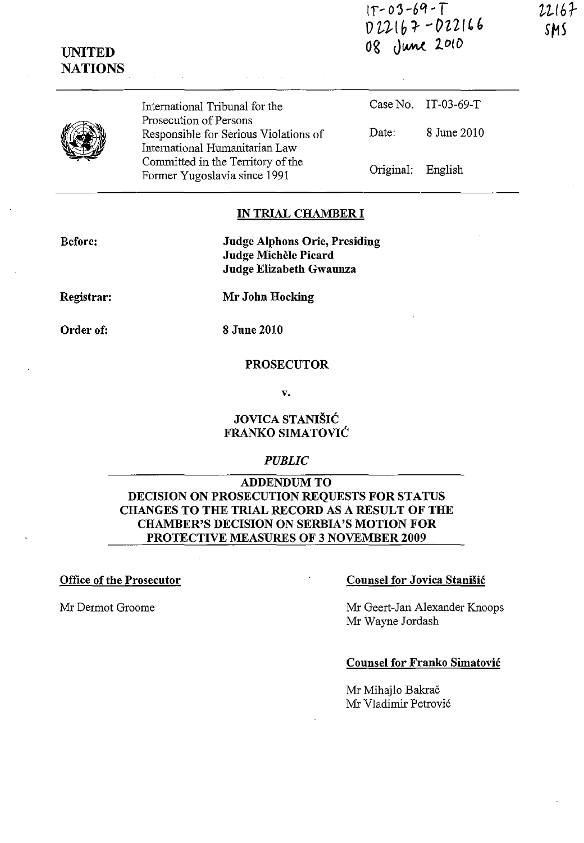IT' *o'J-6O,* -*T OZJ..lb:r* ~OZ2I'(' 08 June 2010

22167

**UNITED NATIONS** 

> International Tribunal for the Prosecution of Persons Responsible for Serious Violations of International Humanitarian Law Committed in the Territory of the Former Yugoslavia since 1991

Case No. IT-03-69-T Date: 8 June 2010 Original: English

# IN TRIAL CHAMBER **I**

Before:

Judge A1phons Orie, Presiding Judge Michèle Picard Judge Elizabeth Gwaunza

Registrar:

Mr John Hocking

Order of:

8 June 2010

# PROSECUTOR

v.

# JOVICA STANIŠIĆ FRANKO SIMATOVIC

# *PUBLIC*

# ADDENDUM TO DECISION ON PROSECUTION REQUESTS FOR STATUS CHANGES TO THE TRIAL RECORD AS A RESULT OF THE CHAMBER'S DECISION ON SERBIA'S MOTION FOR PROTECTIVE MEASURES OF 3 NOVEMBER 2009

### Office of the Prosecutor Counsel for Jovica Stanisic

Mr Dermot Groome Mr Geert-Jan Alexander Knoops Mr Wayne Jordash

#### Counsel for Franko Simatovic

Mr Mihajlo Bakrač Mr Vladimir Petrovi6